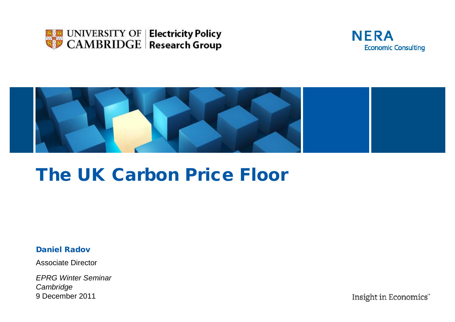





## **The UK Carbon Price Floor**

**Daniel Radov**

Associate Director

*EPRG Winter Seminar Cambridge* 9 December 2011

Insight in Economics"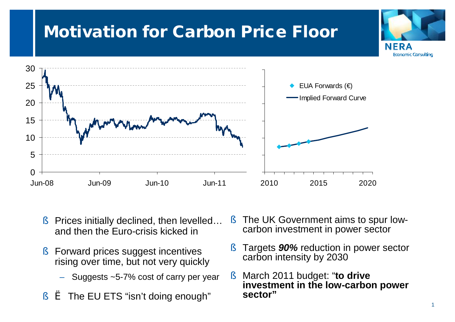

- § Prices initially declined, then levelled... and then the Euro-crisis kicked in
- § Forward prices suggest incentives rising over time, but not very quickly
	- Suggests ~5-7% cost of carry per year
- § è The EU ETS "isn't doing enough"
- § The UK Government aims to spur lowcarbon investment in power sector
- § Targets *90%* reduction in power sector carbon intensity by 2030
- § March 2011 budget: "**to drive investment in the low-carbon power sector"**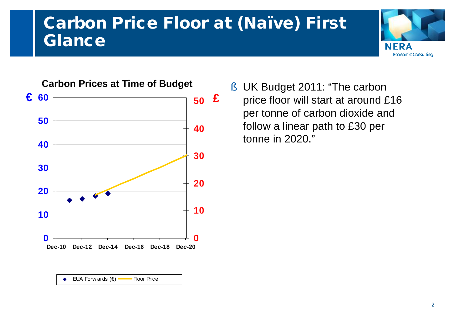## **Carbon Price Floor at (Naïve) First Glance**





EUA Forw ards  $($  $\in$   $)$   $\longrightarrow$  Floor Price

§ UK Budget 2011: "The carbon price floor will start at around £16 per tonne of carbon dioxide and follow a linear path to £30 per tonne in 2020."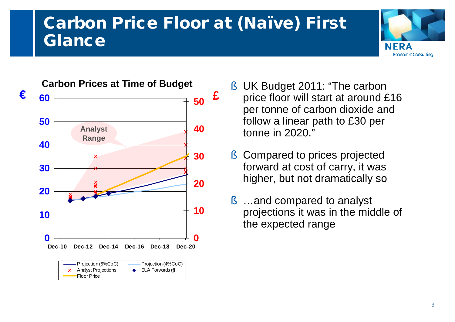## **Carbon Price Floor at (Naïve) First Glance**





- § UK Budget 2011: "The carbon price floor will start at around £16 per tonne of carbon dioxide and follow a linear path to £30 per tonne in 2020."
- § Compared to prices projected forward at cost of carry, it was higher, but not dramatically so
- § …and compared to analyst projections it was in the middle of the expected range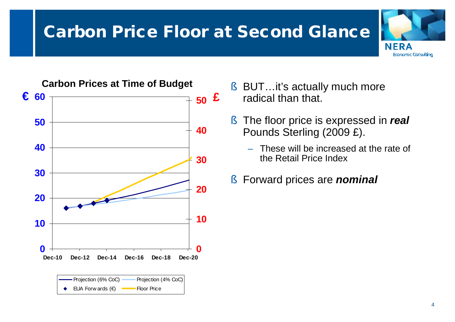# **Carbon Price Floor at Second Glance**





- § BUT...it's actually much more radical than that.
- § The floor price is expressed in *real*  Pounds Sterling (2009 £).
	- These will be increased at the rate of the Retail Price Index
- § Forward prices are *nominal*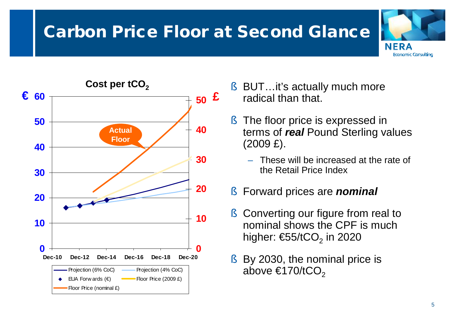# **Carbon Price Floor at Second Glance**





- § BUT...it's actually much more radical than that.
- § The floor price is expressed in terms of *real* Pound Sterling values (2009 £).
	- These will be increased at the rate of the Retail Price Index
- § Forward prices are *nominal*
- § Converting our figure from real to nominal shows the CPF is much higher:  $\mathsf{E}55\mathsf{A}\mathrm{CO}_2$  in 2020
- § By 2030, the nominal price is above €170/tCO<sub>2</sub>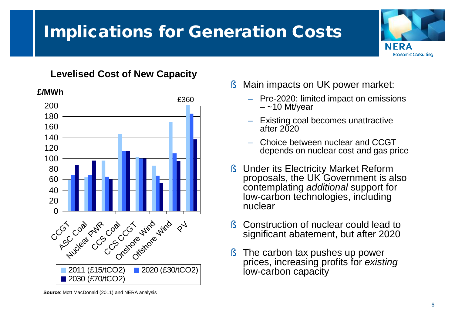# **Implications for Generation Costs**





- § Main impacts on UK power market:
	- Pre-2020: limited impact on emissions  $-$  ~10 Mt/year

**NFRA** 

**Economic Consulting** 

- Existing coal becomes unattractive after 2020
- Choice between nuclear and CCGT depends on nuclear cost and gas price
- § Under its Electricity Market Reform proposals, the UK Government is also contemplating *additional* support for low-carbon technologies, including nuclear
- § Construction of nuclear could lead to significant abatement, but after 2020
- § The carbon tax pushes up power prices, increasing profits for *existing*  low-carbon capacity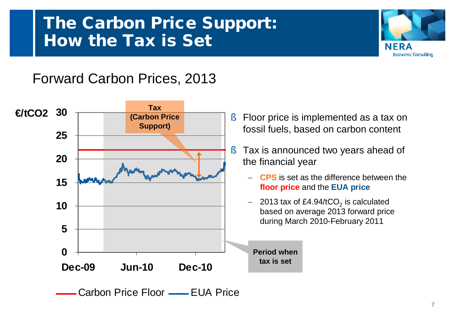## **The Carbon Price Support: How the Tax is Set**



### Forward Carbon Prices, 2013

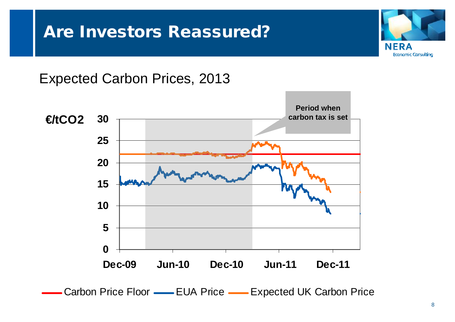# **Are Investors Reassured?**



### Expected Carbon Prices, 2013



Carbon Price Floor - EUA Price - Expected UK Carbon Price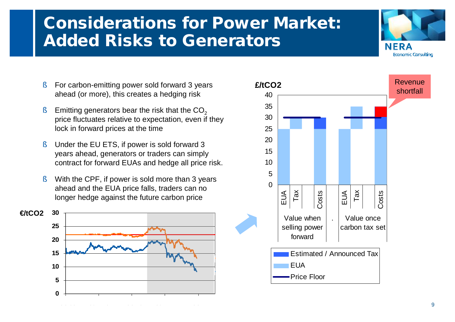## **Considerations for Power Market: Added Risks to Generators**



- § For carbon-emitting power sold forward 3 years ahead (or more), this creates a hedging risk
- § Emitting generators bear the risk that the  $CO<sub>2</sub>$ price fluctuates relative to expectation, even if they lock in forward prices at the time
- § Under the EU ETS, if power is sold forward 3 years ahead, generators or traders can simply contract for forward EUAs and hedge all price risk.
- § With the CPF, if power is sold more than 3 years ahead and the EUA price falls, traders can no longer hedge against the future carbon price



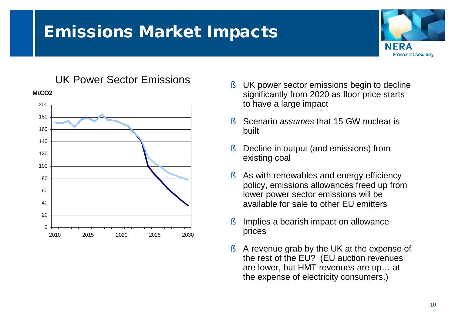# **Emissions Market Impacts**



### UK Power Sector Emissions



- § UK power sector emissions begin to decline significantly from 2020 as floor price starts to have a large impact
- § Scenario *assumes* that 15 GW nuclear is built
- § Decline in output (and emissions) from existing coal
- § As with renewables and energy efficiency policy, emissions allowances freed up from lower power sector emissions will be available for sale to other EU emitters
- § Implies a bearish impact on allowance prices
- § A revenue grab by the UK at the expense of the rest of the EU? (EU auction revenues are lower, but HMT revenues are up… at the expense of electricity consumers.)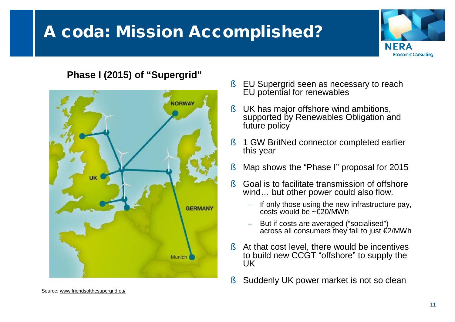# **A coda: Mission Accomplished?**



#### **Phase I (2015) of "Supergrid"**



- § EU Supergrid seen as necessary to reach EU potential for renewables
- § UK has major offshore wind ambitions, supported by Renewables Obligation and future policy
- § 1 GW BritNed connector completed earlier this year
- § Map shows the "Phase I" proposal for 2015
- § Goal is to facilitate transmission of offshore wind… but other power could also flow.
	- If only those using the new infrastructure pay, costs would be  $\approx \epsilon$ 20/MWh
	- But if costs are averaged ("socialised") across all consumers they fall to just €2/MWh
- § At that cost level, there would be incentives to build new CCGT "offshore" to supply the UK
- § Suddenly UK power market is not so clean

Source: [www.friendsofthesupergrid.eu/](http://www.friendsofthesupergrid.eu/)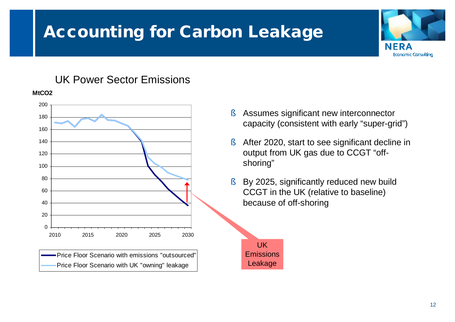# **Accounting for Carbon Leakage**



#### UK Power Sector Emissions



| -Price Floor Scenario with emissions "outsourced" |  |  |  |
|---------------------------------------------------|--|--|--|
| -Price Floor Scenario with UK "owning" leakage    |  |  |  |

- § Assumes significant new interconnector capacity (consistent with early "super-grid")
- § After 2020, start to see significant decline in output from UK gas due to CCGT "offshoring"
- § By 2025, significantly reduced new build CCGT in the UK (relative to baseline) because of off-shoring

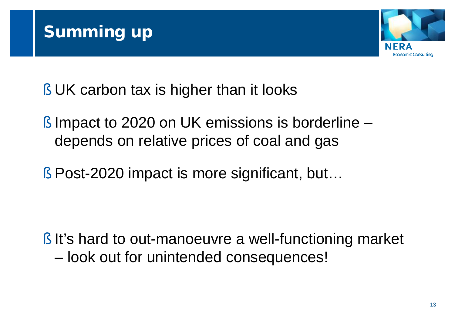



- § UK carbon tax is higher than it looks
- § Impact to 2020 on UK emissions is borderline depends on relative prices of coal and gas
- § Post-2020 impact is more significant, but…

§ It's hard to out-manoeuvre a well-functioning market – look out for unintended consequences!